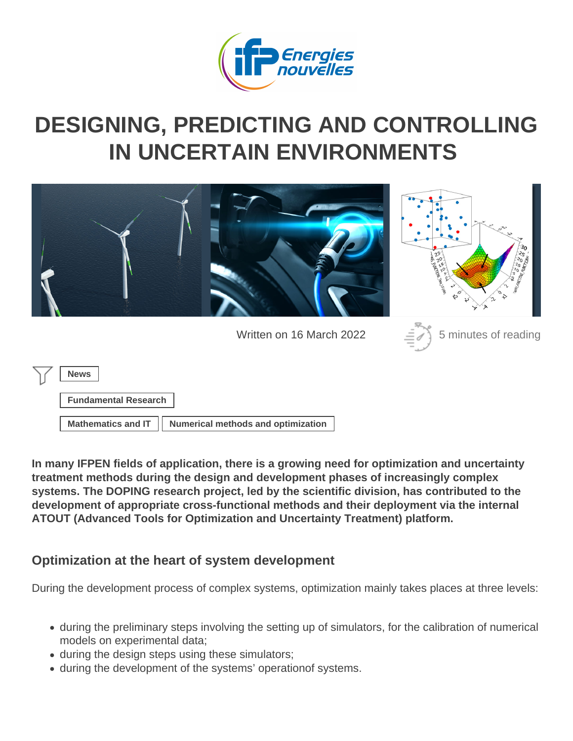# DESIGNING, PREDICTING AND CONTROLLING [IN UNCERTAIN ENVIRONM](https://www.ifpenergiesnouvelles.com/article/designing-predicting-and-controlling-uncertain-environments)ENTS

Written on 16 March 2022 5 minutes of reading

News

Fundamental Research

Mathematics and  $|T|$  [Numerical methods and optimization](https://www.ifpenergiesnouvelles.com/tags/numerical-methods-and-optimization)

In many IFPEN fields of application, there is a growing need for optimization and uncertainty treatment methods during the design and development phases of increasingly complex systems. The DOPING research project, led by the scientific division, has contributed to the development of appropriate cross-functional methods and their deployment via the internal ATOUT (Advanced Tools for Optimization and Uncertainty Treatment) platform.

Optimization at the heart of system development

During the development process of complex systems, optimization mainly takes places at three levels:

- during the preliminary steps involving the setting up of simulators, for the calibration of numerical models on experimental data;
- during the design steps using these simulators;
- during the development of the systems' operationof systems.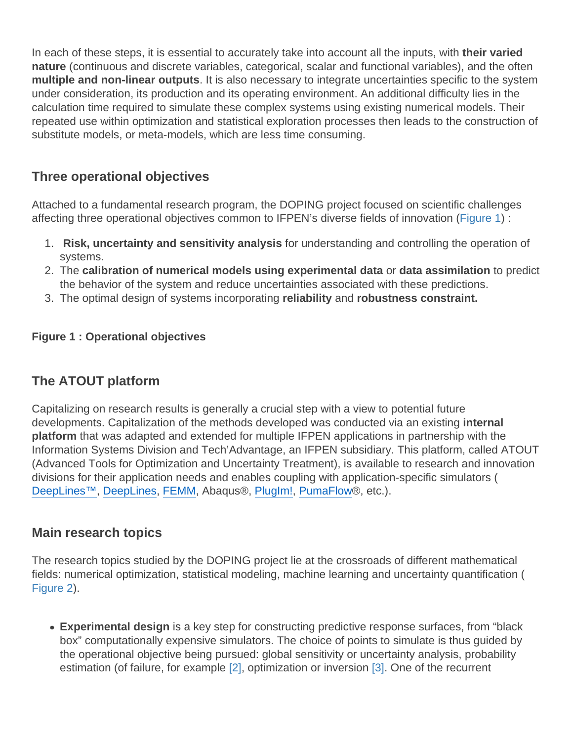In each of these steps, it is essential to accurately take into account all the inputs, with their varied nature (continuous and discrete variables, categorical, scalar and functional variables), and the often multiple and non-linear outputs . It is also necessary to integrate uncertainties specific to the system under consideration, its production and its operating environment. An additional difficulty lies in the calculation time required to simulate these complex systems using existing numerical models. Their repeated use within optimization and statistical exploration processes then leads to the construction of substitute models, or meta-models, which are less time consuming.

### Three operational objectives

Attached to a fundamental research program, the DOPING project focused on scientific challenges affecting three operational objectives common to IFPEN's diverse fields of innovation (Figure 1) :

- 1. Risk, uncertainty and sensitivity analysis for understanding and controlling the operation of systems.
- 2. The calibration of numerical models using experimental data or data assimilation to predict the behavior of the system and reduce uncertainties associated with these predictions.
- 3. The optimal design of systems incorporating reliability and robustness constraint.

Figure 1 : Operational objectives

# The ATOUT platform

Capitalizing on research results is generally a crucial step with a view to potential future developments. Capitalization of the methods developed was conducted via an existing internal platform that was adapted and extended for multiple IFPEN applications in partnership with the Information Systems Division and Tech'Advantage, an IFPEN subsidiary. This platform, called ATOUT (Advanced Tools for Optimization and Uncertainty Treatment), is available to research and innovation divisions for their application needs and enables coupling with application-specific simulators ( [DeepLines™](http://www.principia-group.com/blog/product/produit-deeplines/), [DeepLines](http://www.principia-group.com/blog/product/deeplines-wind/), [FEMM](https://www.femm.info/wiki/HomePage), Abaqus®, [PlugIm!,](https://www.plugim.fr/) [PumaFlow](https://www.beicip.com/reservoir-simulation)®, etc.).

#### Main research topics

The research topics studied by the DOPING project lie at the crossroads of different mathematical fields: numerical optimization, statistical modeling, machine learning and uncertainty quantification ( Figure 2).

Experimental design is a key step for constructing predictive response surfaces, from "black box" computationally expensive simulators. The choice of points to simulate is thus guided by the operational objective being pursued: global sensitivity or uncertainty analysis, probability estimation (of failure, for example [2], optimization or inversion [3]. One of the recurrent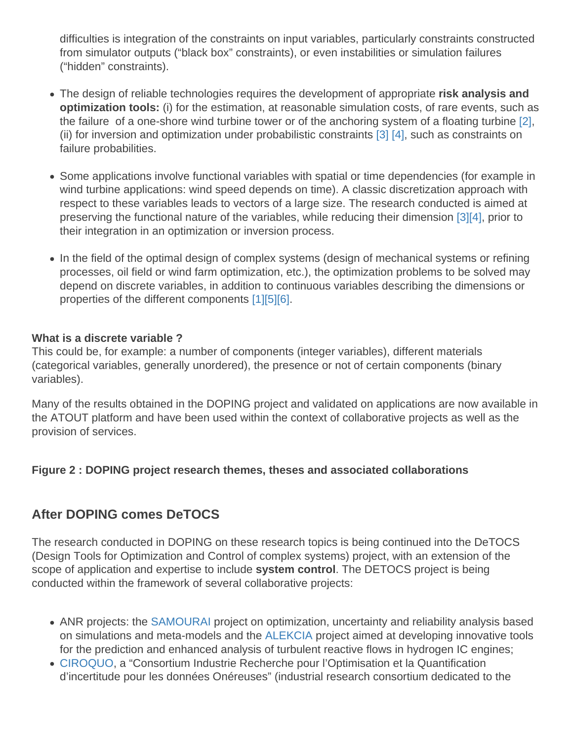difficulties is integration of the constraints on input variables, particularly constraints constructed from simulator outputs ("black box" constraints), or even instabilities or simulation failures ("hidden" constraints).

- The design of reliable technologies requires the development of appropriate risk analysis and optimization tools: (i) for the estimation, at reasonable simulation costs, of rare events, such as the failure of a one-shore wind turbine tower or of the anchoring system of a floating turbine [2], (ii) for inversion and optimization under probabilistic constraints [3] [4], such as constraints on failure probabilities.
- Some applications involve functional variables with spatial or time dependencies (for example in wind turbine applications: wind speed depends on time). A classic discretization approach with respect to these variables leads to vectors of a large size. The research conducted is aimed at preserving the functional nature of the variables, while reducing their dimension [3][4], prior to their integration in an optimization or inversion process.
- In the field of the optimal design of complex systems (design of mechanical systems or refining processes, oil field or wind farm optimization, etc.), the optimization problems to be solved may depend on discrete variables, in addition to continuous variables describing the dimensions or properties of the different components [1][5][6].

What is a discrete variable ?

This could be, for example: a number of components (integer variables), different materials (categorical variables, generally unordered), the presence or not of certain components (binary variables).

Many of the results obtained in the DOPING project and validated on applications are now available in the ATOUT platform and have been used within the context of collaborative projects as well as the provision of services.

Figure 2 : DOPING project research themes, theses and associated collaborations

# After DOPING comes DeTOCS

The research conducted in DOPING on these research topics is being continued into the DeTOCS (Design Tools for Optimization and Control of complex systems) project, with an extension of the scope of application and expertise to include system control . The DETOCS project is being conducted within the framework of several collaborative projects:

- ANR projects: th[e SAMOURAI](https://www.ifpenergiesnouvelles.fr/samourai) project on optimization, uncertainty and reliability analysis based on simulations and meta-models and the [ALEKCIA](https://www.ifpenergiesnouvelles.fr/alekcia) project aimed at developing innovative tools for the prediction and enhanced analysis of turbulent reactive flows in hydrogen IC engines;
- [CIROQUO](https://ciroquo.ec-lyon.fr/), a "Consortium Industrie Recherche pour l'Optimisation et la Quantification d'incertitude pour les données Onéreuses" (industrial research consortium dedicated to the